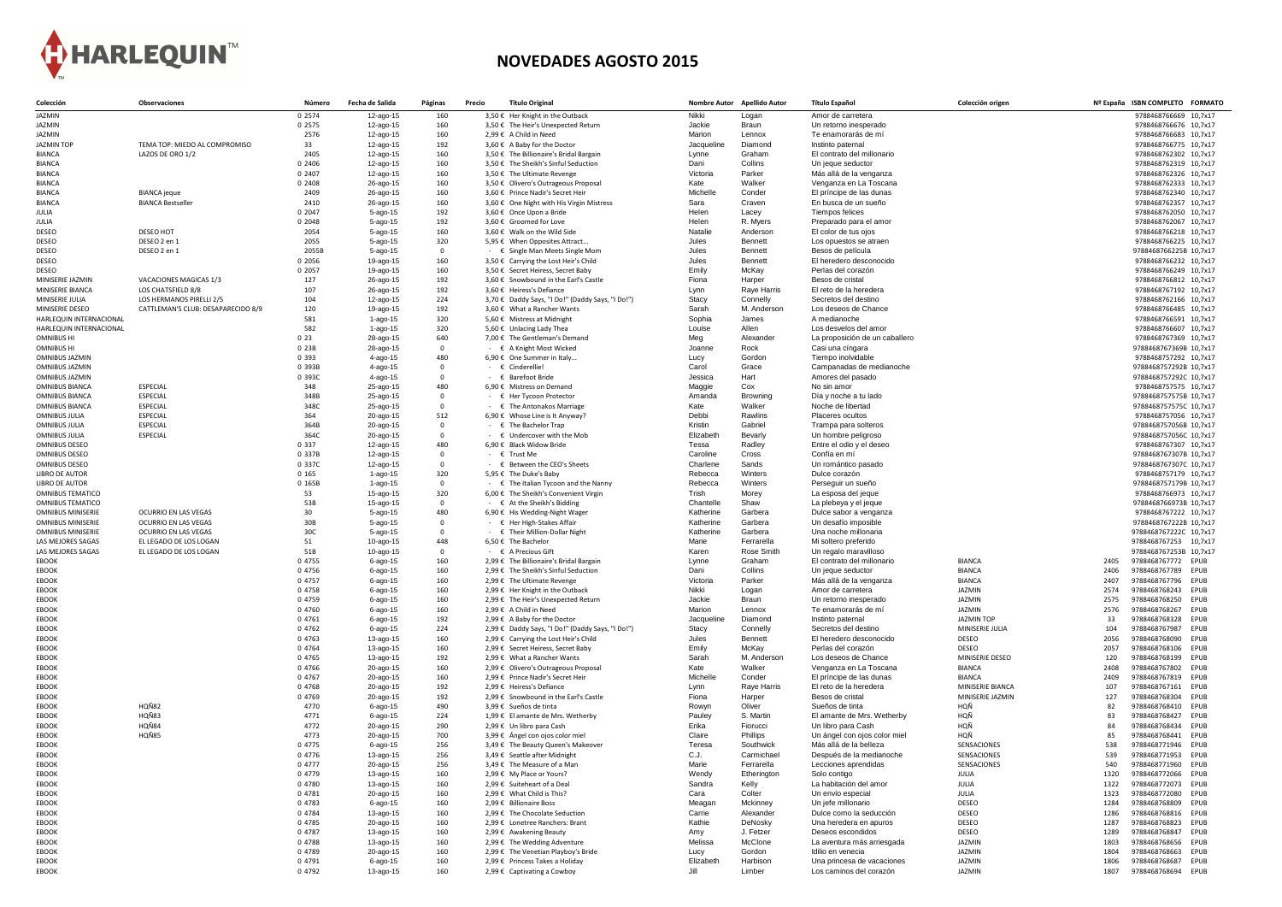

## **NOVEDADES AGOSTO 2015**

| Colección                                      | <b>Observaciones</b>               | Número            | Fecha de Salida             | Páginas        | <b>Título Original</b><br>Precio                                                          |                     | Nombre Autor Apellido Autor | <b>Título Español</b>                                 | Colección origen                | Nº España ISBN COMPLETO FORMATO                                    |
|------------------------------------------------|------------------------------------|-------------------|-----------------------------|----------------|-------------------------------------------------------------------------------------------|---------------------|-----------------------------|-------------------------------------------------------|---------------------------------|--------------------------------------------------------------------|
| JAZMIN                                         |                                    | 0 2574            | 12-ago-15                   | 160            | 3,50 € Her Knight in the Outback                                                          | Nikki               | Logan                       | Amor de carretera                                     |                                 | 9788468766669 10,7x17                                              |
| JAZMIN                                         |                                    | 0 2575            | 12-ago-15                   | 160            | 3,50 € The Heir's Unexpected Return                                                       | Jackie              | <b>Braun</b>                | Un retorno inesperado                                 |                                 | 9788468766676 10,7x17                                              |
| JAZMIN                                         |                                    | 2576              | 12-ago-15                   | 160            | 2,99 € A Child in Need                                                                    | Marion              | Lennox                      | Te enamorarás de mí                                   |                                 | 9788468766683 10,7x17                                              |
| <b>JAZMIN TOP</b><br><b>BIANCA</b>             | TEMA TOP: MIEDO AL COMPROMISO      | 33<br>2405        | 12-ago-15<br>12-ago-15      | 192<br>160     | 3,60 € A Baby for the Doctor<br>3,50 € The Billionaire's Bridal Bargain                   | Jacqueline<br>Lynne | Diamond<br>Graham           | Instinto paternal<br>El contrato del millonario       |                                 | 9788468766775 10,7x17<br>9788468762302 10,7x17                     |
| <b>BIANCA</b>                                  | LAZOS DE ORO 1/2                   | 0 2406            | 12-ago-15                   | 160            | 3,50 € The Sheikh's Sinful Seduction                                                      | Dani                | Collins                     | Un jeque seductor                                     |                                 | 9788468762319 10,7x17                                              |
| <b>BIANCA</b>                                  |                                    | 0 2407            | 12-ago-15                   | 160            | 3,50 € The Ultimate Revenge                                                               | Victoria            | Parker                      | Más allá de la venganza                               |                                 | 9788468762326 10,7x17                                              |
| <b>BIANCA</b>                                  |                                    | 0 2408            | 26-ago-15                   | 160            | 3,50 € Olivero's Outrageous Proposal                                                      | Kate                | Walker                      | Venganza en La Toscana                                |                                 | 9788468762333 10,7x17                                              |
| <b>BIANCA</b>                                  | <b>BIANCA</b> jeque                | 2409              | 26-ago-15                   | 160            | 3,60 € Prince Nadir's Secret Heir                                                         | Michelle            | Conder                      | El príncipe de las dunas                              |                                 | 9788468762340 10,7x17                                              |
| <b>BIANCA</b>                                  | <b>BIANCA Bestseller</b>           | 2410              | 26-ago-15                   | 160            | 3,60 € One Night with His Virgin Mistress                                                 | Sara                | Craven                      | En busca de un sueño                                  |                                 | 9788468762357 10,7x17                                              |
| <b>JULIA</b>                                   |                                    | 0 2047            | $5$ -ago-15                 | 192            | 3,60 € Once Upon a Bride                                                                  | Helen               | Lacey                       | Tiempos felices                                       |                                 | 9788468762050 10,7x17                                              |
| JULIA<br><b>DESEO</b>                          | DESEO HOT                          | 0 2048<br>2054    | $5$ -ago-15                 | 192<br>160     | 3,60 € Groomed for Love<br>3,60 € Walk on the Wild Side                                   | Helen<br>Natalie    | R. Myers<br>Anderson        | Preparado para el amor<br>El color de tus ojos        |                                 | 9788468762067 10,7x17                                              |
| <b>DESEO</b>                                   | DESEO 2 en 1                       | 2055              | $5$ -ago-15<br>$5 - ago-15$ | 320            | 5,95 € When Opposites Attract                                                             | Jules               | <b>Bennett</b>              | Los opuestos se atraen                                |                                 | 9788468766218 10,7x17<br>9788468766225 10,7x17                     |
| <b>DESEO</b>                                   | DESEO 2 en 1                       | 2055B             | $5$ -ago-15                 | $\overline{0}$ | - € Single Man Meets Single Mom                                                           | Jules               | <b>Bennett</b>              | Besos de película                                     |                                 | 9788468766225B 10,7x17                                             |
| <b>DESEO</b>                                   |                                    | 0 2056            | 19-ago-15                   | 160            | 3,50 € Carrying the Lost Heir's Child                                                     | Jules               | <b>Bennett</b>              | El heredero desconocido                               |                                 | 9788468766232 10,7x17                                              |
| <b>DESEO</b>                                   |                                    | 0 2057            | 19-ago-15                   | 160            | 3,50 € Secret Heiress, Secret Baby                                                        | Emily               | McKay                       | Perlas del corazón                                    |                                 | 9788468766249 10,7x17                                              |
| MINISERIE JAZMIN                               | VACACIONES MAGICAS 1/3             | 127               | 26-ago-15                   | 192            | 3,60 € Snowbound in the Earl's Castle                                                     | Fiona               | Harper                      | Besos de cristal                                      |                                 | 9788468766812 10,7x17                                              |
| <b>MINISERIE BIANCA</b>                        | LOS CHATSFIELD 8/8                 | 107               | 26-ago-15                   | 192            | 3,60 € Heiress's Defiance                                                                 | Lynn                | <b>Raye Harris</b>          | El reto de la heredera                                |                                 | 9788468767192 10,7x17                                              |
| MINISERIE JULIA                                | LOS HERMANOS PIRELLI 2/5           | 104               | 12-ago-15                   | 224            | 3,70 € Daddy Says, "I Do!" (Daddy Says, "I Do!")                                          | <b>Stacy</b>        | Connelly                    | Secretos del destino<br>Los deseos de Chance          |                                 | 9788468762166 10,7x17                                              |
| MINISERIE DESEO<br>HARLEQUIN INTERNACIONAL     | CATTLEMAN'S CLUB: DESAPARECIDO 8/9 | 120<br>581        | 19-ago-15<br>$1$ -ago-15    | 192<br>320     | 3,60 € What a Rancher Wants<br>5,60 € Mistress at Midnight                                | Sarah<br>Sophia     | M. Anderson<br>James        | A medianoche                                          |                                 | 9788468766485 10,7x17<br>9788468766591 10,7x17                     |
| <b>HARLEQUIN INTERNACIONAL</b>                 |                                    | 582               | $1$ -ago-15                 | 320            | 5,60 € Unlacing Lady Thea                                                                 | Louise              | Allen                       | Los desvelos del amor                                 |                                 | 9788468766607 10,7x17                                              |
| <b>OMNIBUS HI</b>                              |                                    | 023               | 28-ago-15                   | 640            | 7,00 € The Gentleman's Demand                                                             | Meg                 | Alexander                   | La proposición de un caballero                        |                                 | 9788468767369 10,7x17                                              |
| <b>OMNIBUS HI</b>                              |                                    | 0 23B             | 28-ago-15                   |                | - $\epsilon$ A Knight Most Wicked                                                         | Joanne              | Rock                        | Casi una cíngara                                      |                                 | 9788468767369B 10,7x17                                             |
| <b>OMNIBUS JAZMIN</b>                          |                                    | 0 3 9 3           | $4$ -ago-15                 | 480            | 6,90 € One Summer in Italy                                                                | Lucy                | Gordon                      | Tiempo inolvidable                                    |                                 | 9788468757292 10,7x17                                              |
| <b>OMNIBUS JAZMIN</b>                          |                                    | 0 393B            | $4$ -ago-15                 |                | - € Cinderellie!                                                                          | Carol               | Grace                       | Campanadas de medianoche                              |                                 | 9788468757292B 10,7x17                                             |
| <b>OMNIBUS JAZMIN</b>                          |                                    | 0 393C            | $4$ -ago-15                 |                | - € Barefoot Bride                                                                        | Jessica             | Hart                        | Amores del pasado                                     |                                 | 9788468757292C 10,7x17                                             |
| <b>OMNIBUS BIANCA</b>                          | <b>ESPECIAL</b>                    | 348               | 25-ago-15                   | 480            | 6,90 € Mistress on Demand                                                                 | Maggie              | Cox<br><b>Browning</b>      | No sin amor<br>Día y noche a tu lado                  |                                 | 9788468757575 10,7x17                                              |
| <b>OMNIBUS BIANCA</b><br><b>OMNIBUS BIANCA</b> | <b>ESPECIAL</b><br><b>ESPECIAL</b> | 348B<br>348C      | 25-ago-15<br>25-ago-15      |                | - € Her Tycoon Protector<br>$\cdot \in$ The Antonakos Marriage                            | Amanda<br>Kate      | Walker                      | Noche de libertad                                     |                                 | 9788468757575B 10,7x17<br>9788468757575C 10,7x17                   |
| <b>OMNIBUS JULIA</b>                           | <b>ESPECIAL</b>                    | 364               | 20-ago-15                   | 512            | 6,90 € Whose Line is It Anyway?                                                           | Debbi               | Rawlins                     | <b>Placeres ocultos</b>                               |                                 | 9788468757056 10,7x17                                              |
| <b>OMNIBUS JULIA</b>                           | <b>ESPECIAL</b>                    | 364B              | 20-ago-15                   |                | - $\epsilon$ The Bachelor Trap                                                            | Kristin             | Gabriel                     | Trampa para solteros                                  |                                 | 9788468757056B 10,7x17                                             |
| <b>OMNIBUS JULIA</b>                           | <b>ESPECIAL</b>                    | 364C              | 20-ago-15                   |                | $\cdot \in$ Undercover with the Mob                                                       | Elizabeth           | Bevarly                     | Un hombre peligroso                                   |                                 | 9788468757056C 10,7x17                                             |
| <b>OMNIBUS DESEO</b>                           |                                    | 0 3 3 7           | 12-ago-15                   | 480            | 6,90 € Black Widow Bride                                                                  | Tessa               | Radley                      | Entre el odio y el deseo                              |                                 | 9788468767307 10,7x17                                              |
| <b>OMNIBUS DESEO</b>                           |                                    | 0 337B            | 12-ago-15                   |                | $ \epsilon$ Trust Me                                                                      | Caroline            | Cross                       | Confía en mí                                          |                                 | 9788468767307B 10,7x17                                             |
| <b>OMNIBUS DESEO</b>                           |                                    | 0 337C            | 12-ago-15                   |                | - € Between the CEO's Sheets                                                              | Charlene            | Sands<br>Winters            | Un romántico pasado<br>Dulce corazón                  |                                 | 9788468767307C 10,7x17                                             |
| <b>LIBRO DE AUTOR</b><br>LIBRO DE AUTOR        |                                    | 0 1 6 5<br>0 165B | $1$ -ago-15<br>$1$ -ago-15  | 320            | 5,95 € The Duke's Baby<br>$\cdot \in \mathbb{C}$ The Italian Tycoon and the Nanny         | Rebecca<br>Rebecca  | Winters                     | Perseguir un sueño                                    |                                 | 9788468757179 10,7x17<br>9788468757179B 10,7x17                    |
| <b>OMNIBUS TEMATICO</b>                        |                                    | 53                | 15-ago-15                   | 320            | 6,00 € The Sheikh's Convenient Virgin                                                     | Trish               | Morey                       | La esposa del jeque                                   |                                 | 9788468766973 10,7x17                                              |
| <b>OMNIBUS TEMATICO</b>                        |                                    | 53B               | 15-ago-15                   |                | - € At the Sheikh's Bidding                                                               | Chantelle           | Shaw                        | La plebeya y el jeque                                 |                                 | 9788468766973B 10,7x17                                             |
| <b>OMNIBUS MINISERIE</b>                       | <b>OCURRIO EN LAS VEGAS</b>        | 30                | $5$ -ago-15                 | 480            | 6,90 € His Wedding-Night Wager                                                            | Katherine           | Garbera                     | Dulce sabor a venganza                                |                                 | 9788468767222 10,7x17                                              |
| <b>OMNIBUS MINISERIE</b>                       | <b>OCURRIO EN LAS VEGAS</b>        | 30 <sub>B</sub>   | $5 - a$ go $-15$            |                | - € Her High-Stakes Affair                                                                | Katherine           | Garbera                     | Un desafío imposible                                  |                                 | 9788468767222B 10,7x17                                             |
| <b>OMNIBUS MINISERIE</b>                       | <b>OCURRIO EN LAS VEGAS</b>        | 30C               | $5$ -ago-15                 |                | - € Their Million-Dollar Night                                                            | Katherine           | Garbera                     | Una noche millonaria                                  |                                 | 9788468767222C 10,7x17                                             |
| LAS MEJORES SAGAS                              | EL LEGADO DE LOS LOGAN             | 51                | $10$ -ago-15                | 448            | 6,50 € The Bachelor                                                                       | Marie               | Ferrarella                  | Mi soltero preferido                                  |                                 | 9788468767253 10,7x17                                              |
| LAS MEJORES SAGAS<br>EBOOK                     | EL LEGADO DE LOS LOGAN             | 51B<br>0 4755     | $10$ -ago-15<br>6-ago-15    | 160            | - € A Precious Gift<br>2,99 € The Billionaire's Bridal Bargain                            | Karen<br>Lynne      | <b>Rose Smith</b><br>Graham | Un regalo maravilloso<br>El contrato del millonario   | <b>BIANCA</b>                   | 9788468767253B 10,7x17<br>9788468767772 EPUB<br>2405               |
| <b>EBOOK</b>                                   |                                    | 0 4756            | $6$ -ago-15                 | 160            | 2,99 € The Sheikh's Sinful Seduction                                                      | Dani                | Collins                     | Un jeque seductor                                     | <b>BIANCA</b>                   | 9788468767789 EPUB<br>2406                                         |
| <b>EBOOK</b>                                   |                                    | 0 4757            | $6$ -ago-15                 | 160            | 2,99 € The Ultimate Revenge                                                               | Victoria            | Parker                      | Más allá de la venganza                               | <b>BIANCA</b>                   | 2407<br>9788468767796 EPUB                                         |
| <b>EBOOK</b>                                   |                                    | 0 4758            | $6$ -ago-15                 | 160            | 2,99 € Her Knight in the Outback                                                          | Nikki               | Logan                       | Amor de carretera                                     | <b>JAZMIN</b>                   | 2574<br>9788468768243 EPUB                                         |
| <b>EBOOK</b>                                   |                                    | 0 4759            | $6$ -ago-15                 | 160            | 2,99 € The Heir's Unexpected Return                                                       | Jackie              | Braun                       | Un retorno inesperado                                 | <b>JAZMIN</b>                   | 2575<br>9788468768250 EPUB                                         |
| <b>EBOOK</b>                                   |                                    | 0 4760            | $6$ -ago-15                 | 160            | 2,99 € A Child in Need                                                                    | Marion              | Lennox                      | Te enamorarás de mí                                   | <b>JAZMIN</b>                   | 2576<br>9788468768267<br><b>EPUB</b>                               |
| <b>EBOOK</b>                                   |                                    | 0 4761            | 6-ago-15                    | 192            | 2,99 € A Baby for the Doctor                                                              | Jacqueline          | Diamond                     | Instinto paternal                                     | <b>JAZMIN TOP</b>               | 9788468768328 EPUB<br>33                                           |
| <b>EBOOK</b><br><b>EBOOK</b>                   |                                    | 0 4762<br>0 4763  | $6$ -ago-15<br>$13$ -ago-15 | 224<br>160     | 2,99 € Daddy Says, "I Do!" (Daddy Says, "I Do!")<br>2,99 € Carrying the Lost Heir's Child | Stacy<br>Jules      | Connelly<br><b>Bennett</b>  | Secretos del destino<br>El heredero desconocido       | MINISERIE JULIA<br><b>DESEO</b> | 104<br>9788468767987 EPUB<br>2056<br>9788468768090<br><b>EPUB</b>  |
| <b>EBOOK</b>                                   |                                    | 0 4764            | 13-ago-15                   | 160            | 2,99 € Secret Heiress, Secret Baby                                                        | Emily               | McKay                       | Perlas del corazón                                    | <b>DESEO</b>                    | 2057<br>9788468768106 EPUB                                         |
| <b>EBOOK</b>                                   |                                    | 0 4765            | $13$ -ago-15                | 192            | 2,99 € What a Rancher Wants                                                               | Sarah               | M. Anderson                 | Los deseos de Chance                                  | MINISERIE DESEO                 | 120<br>9788468768199 EPUB                                          |
| <b>EBOOK</b>                                   |                                    | 0 4766            | 20-ago-15                   | 160            | 2,99 € Olivero's Outrageous Proposal                                                      | Kate                | Walker                      | Venganza en La Toscana                                | <b>BIANCA</b>                   | 2408<br>9788468767802 EPUB                                         |
| <b>EBOOK</b>                                   |                                    | 0 4767            | 20-ago-15                   | 160            | 2,99 € Prince Nadir's Secret Heir                                                         | Michelle            | Conder                      | El príncipe de las dunas                              | <b>BIANCA</b>                   | 2409<br>9788468767819 EPUB                                         |
| <b>EBOOK</b>                                   |                                    | 0 4768            | 20-ago-15                   | 192            | 2,99 € Heiress's Defiance                                                                 | Lynn                | Raye Harris                 | El reto de la heredera                                | MINISERIE BIANCA                | 107<br>9788468767161 EPUB                                          |
| <b>EBOOK</b>                                   |                                    | 0 4769            | 20-ago-15                   | 192            | 2,99 € Snowbound in the Earl's Castle                                                     | Fiona               | Harper                      | Besos de cristal                                      | MINISERIE JAZMIN                | 127<br>9788468768304 EPUB                                          |
| <b>EBOOK</b><br><b>EBOOK</b>                   | HQÑ82<br>HQÑ83                     | 4770<br>4771      | $6$ -ago-15<br>$6$ -ago-15  | 490<br>224     | 3,99 € Sueños de tinta<br>1,99 € El amante de Mrs. Wetherby                               | Rowyn<br>Pauley     | Oliver<br>S. Martin         | Sueños de tinta<br>El amante de Mrs. Wetherby         | HQÑ<br>HQÑ                      | 82<br>9788468768410 EPUB<br>9788468768427 EPUB<br>-83              |
| <b>EBOOK</b>                                   | HQÑ84                              | 4772              | 20-ago-15                   | 290            | 2,99 € Un libro para Cash                                                                 | Erika               | Fiorucci                    | Un libro para Cash                                    | HQÑ                             | 9788468768434 EPUB                                                 |
| <b>EBOOK</b>                                   | HQÑ85                              | 4773              | 20-ago-15                   | 700            | 3,99 € Ángel con ojos color miel                                                          | Claire              | <b>Phillips</b>             | Un ángel con ojos color miel                          | HQÑ                             | 85<br>9788468768441 EPUB                                           |
| <b>EBOOK</b>                                   |                                    | 0 4775            | $6$ -ago-15                 | 256            | 3,49 € The Beauty Queen's Makeover                                                        | Teresa              | Southwick                   | Más allá de la belleza                                | SENSACIONES                     | 538<br>9788468771946 EPUB                                          |
| <b>EBOOK</b>                                   |                                    | 0 4776            | 13-ago-15                   | 256            | 3,49 € Seattle after Midnight                                                             | C.J.                | Carmichael                  | Después de la medianoche                              | SENSACIONES                     | 539<br>9788468771953 EPUB                                          |
| <b>EBOOK</b>                                   |                                    | 0 4777            | 20-ago-15                   | 256            | 3,49 € The Measure of a Man                                                               | Marie               | Ferrarella                  | Lecciones aprendidas                                  | SENSACIONES                     | 540<br>9788468771960 EPUB                                          |
| EBOOK                                          |                                    | 0 4779<br>0 4780  | 13-ago-15                   | 160            | 2,99 € My Place or Yours?                                                                 | Wendy<br>Sandra     | Etherington                 | Solo contigo<br>La habitación del amor                | JULIA                           | 1320<br>9788468772066 EPUB                                         |
| <b>EBOOK</b><br><b>EBOOK</b>                   |                                    | 0 4781            | 13-ago-15<br>20-ago-15      | 160<br>160     | 2,99 € Suiteheart of a Deal<br>2,99 € What Child is This?                                 | Cara                | Kelly<br>Colter             | Un envío especial                                     | JULIA<br>JULIA                  | 1322<br>9788468772073 EPUB<br>1323<br>9788468772080 EPUB           |
| EBOOK                                          |                                    | 0 4783            | 6-ago-15                    | 160            | 2,99 € Billionaire Boss                                                                   | Meagan              | Mckinney                    | Un jefe millonario                                    | <b>DESEO</b>                    | 1284<br>9788468768809 EPUB                                         |
| <b>EBOOK</b>                                   |                                    | 0 4784            | 13-ago-15                   | 160            | 2,99 € The Chocolate Seduction                                                            | Carrie              | Alexander                   | Dulce como la seducción                               | <b>DESEO</b>                    | 1286<br>9788468768816 EPUB                                         |
| <b>EBOOK</b>                                   |                                    | 0 4785            | 20-ago-15                   | 160            | 2,99 € Lonetree Ranchers: Brant                                                           | Kathie              | DeNosky                     | Una heredera en apuros                                | <b>DESEO</b>                    | 1287<br>9788468768823 EPUB                                         |
| EBOOK                                          |                                    | 0 4787            | 13-ago-15                   | 160            | 2,99 € Awakening Beauty                                                                   | Amy                 | J. Fetzer                   | Deseos escondidos                                     | <b>DESEO</b>                    | 1289<br>9788468768847<br><b>EPUB</b>                               |
| <b>EBOOK</b>                                   |                                    | 04788             | $13$ -ago-15                | 160            | 2,99 € The Wedding Adventure                                                              | Melissa             | McClone                     | La aventura más arriesgada                            | <b>JAZMIN</b>                   | 1803<br>9788468768656 EPUB                                         |
| <b>EBOOK</b>                                   |                                    | 0 4789            | 20-ago-15                   | 160            | 2,99 € The Venetian Playboy's Bride                                                       | Lucy                | Gordon                      | Idilio en venecia                                     | <b>JAZMIN</b>                   | 1804<br>9788468768663<br><b>EPUB</b>                               |
| <b>EBOOK</b><br><b>EBOOK</b>                   |                                    | 0 4791<br>0 4792  | 6-ago-15<br>13-ago-15       | 160<br>160     | 2,99 € Princess Takes a Holiday<br>2,99 € Captivating a Cowboy                            | Elizabeth<br>Jill   | Harbison<br>Limber          | Una princesa de vacaciones<br>Los caminos del corazón | <b>JAZMIN</b><br><b>JAZMIN</b>  | 1806<br>9788468768687<br><b>EPUB</b><br>1807<br>9788468768694 EPUB |
|                                                |                                    |                   |                             |                |                                                                                           |                     |                             |                                                       |                                 |                                                                    |